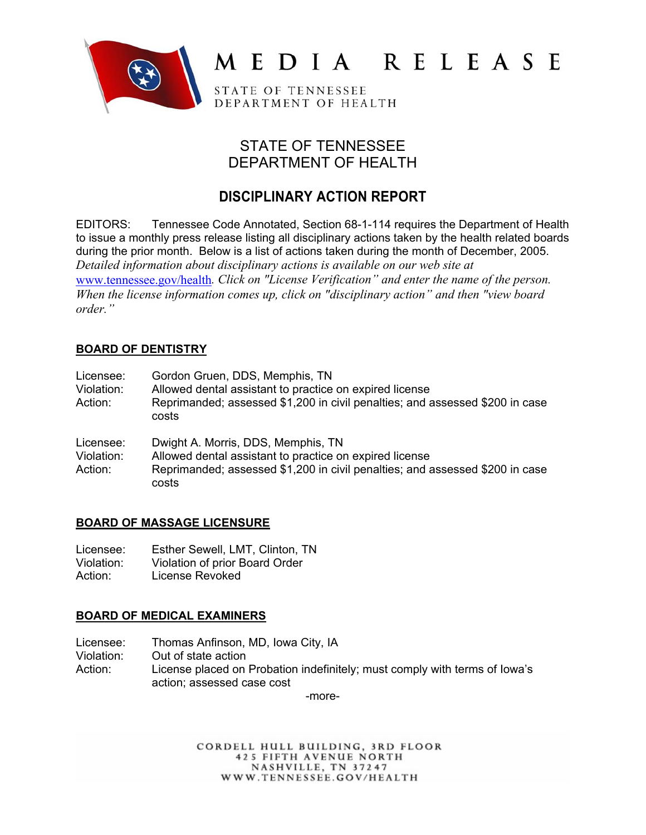

# MEDIA RELEASE

STATE OF TENNESSEE DEPARTMENT OF HEALTH

# STATE OF TENNESSEE DEPARTMENT OF HEALTH

# **DISCIPLINARY ACTION REPORT**

EDITORS: Tennessee Code Annotated, Section 68-1-114 requires the Department of Health to issue a monthly press release listing all disciplinary actions taken by the health related boards during the prior month. Below is a list of actions taken during the month of December, 2005. *Detailed information about disciplinary actions is available on our web site at*  www.tennessee.gov/health*. Click on "License Verification" and enter the name of the person. When the license information comes up, click on "disciplinary action" and then "view board order."* 

## **BOARD OF DENTISTRY**

| Licensee:<br>Violation:<br>Action: | Gordon Gruen, DDS, Memphis, TN<br>Allowed dental assistant to practice on expired license<br>Reprimanded; assessed \$1,200 in civil penalties; and assessed \$200 in case<br>costs     |
|------------------------------------|----------------------------------------------------------------------------------------------------------------------------------------------------------------------------------------|
| Licensee:<br>Violation:<br>Action: | Dwight A. Morris, DDS, Memphis, TN<br>Allowed dental assistant to practice on expired license<br>Reprimanded; assessed \$1,200 in civil penalties; and assessed \$200 in case<br>costs |

## **BOARD OF MASSAGE LICENSURE**

| Licensee:  | Esther Sewell, LMT, Clinton, TN |
|------------|---------------------------------|
| Violation: | Violation of prior Board Order  |
| Action:    | License Revoked                 |

## **BOARD OF MEDICAL EXAMINERS**

Licensee: Thomas Anfinson, MD, Iowa City, IA Violation: Out of state action Action: License placed on Probation indefinitely; must comply with terms of Iowa's action; assessed case cost

-more-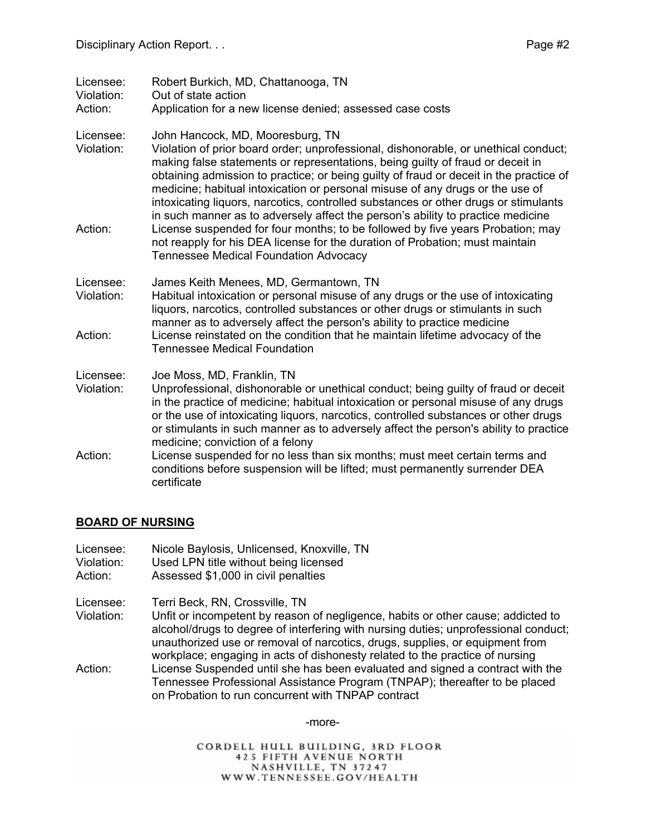| Licensee: | Robert Burkich, MD, Chattanooga, TN |  |  |  |
|-----------|-------------------------------------|--|--|--|
|-----------|-------------------------------------|--|--|--|

Violation: Out of state action

Action: Application for a new license denied; assessed case costs

#### Licensee: John Hancock, MD, Mooresburg, TN

- Violation: Violation of prior board order; unprofessional, dishonorable, or unethical conduct; making false statements or representations, being guilty of fraud or deceit in obtaining admission to practice; or being guilty of fraud or deceit in the practice of medicine; habitual intoxication or personal misuse of any drugs or the use of intoxicating liquors, narcotics, controlled substances or other drugs or stimulants in such manner as to adversely affect the person's ability to practice medicine
- Action: License suspended for four months; to be followed by five years Probation; may not reapply for his DEA license for the duration of Probation; must maintain Tennessee Medical Foundation Advocacy
- Licensee: James Keith Menees, MD, Germantown, TN
- Violation: Habitual intoxication or personal misuse of any drugs or the use of intoxicating liquors, narcotics, controlled substances or other drugs or stimulants in such manner as to adversely affect the person's ability to practice medicine Action: License reinstated on the condition that he maintain lifetime advocacy of the Tennessee Medical Foundation

#### Licensee: Joe Moss, MD, Franklin, TN

- Violation: Unprofessional, dishonorable or unethical conduct; being guilty of fraud or deceit in the practice of medicine; habitual intoxication or personal misuse of any drugs or the use of intoxicating liquors, narcotics, controlled substances or other drugs or stimulants in such manner as to adversely affect the person's ability to practice medicine; conviction of a felony
- Action: License suspended for no less than six months; must meet certain terms and conditions before suspension will be lifted; must permanently surrender DEA certificate

#### **BOARD OF NURSING**

- Licensee: Nicole Baylosis, Unlicensed, Knoxville, TN
- Violation: Used LPN title without being licensed
- Action: Assessed \$1,000 in civil penalties
- Licensee: Terri Beck, RN, Crossville, TN
- Violation: Unfit or incompetent by reason of negligence, habits or other cause; addicted to alcohol/drugs to degree of interfering with nursing duties; unprofessional conduct; unauthorized use or removal of narcotics, drugs, supplies, or equipment from workplace; engaging in acts of dishonesty related to the practice of nursing
- Action: License Suspended until she has been evaluated and signed a contract with the Tennessee Professional Assistance Program (TNPAP); thereafter to be placed on Probation to run concurrent with TNPAP contract

-more-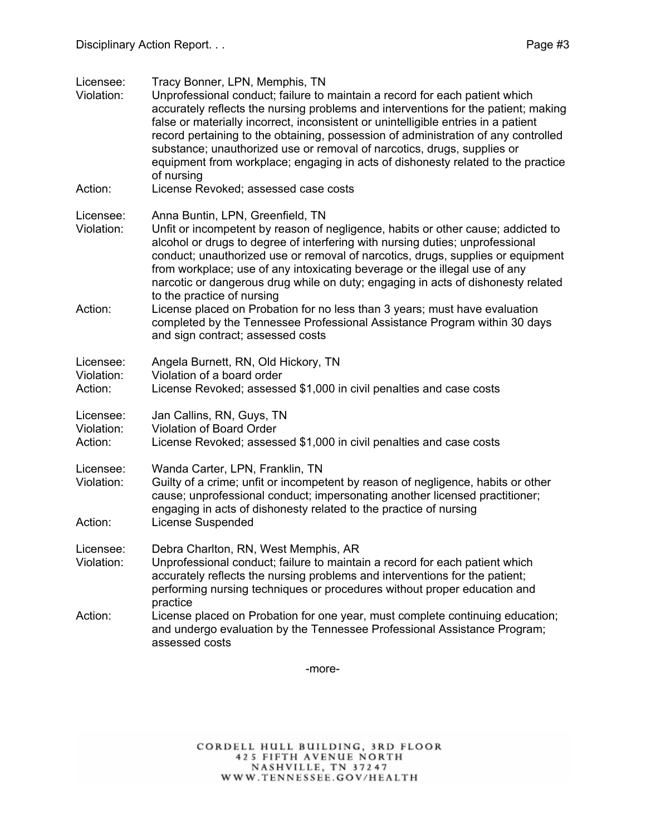Licensee: Tracy Bonner, LPN, Memphis, TN Violation: Unprofessional conduct; failure to maintain a record for each patient which accurately reflects the nursing problems and interventions for the patient; making false or materially incorrect, inconsistent or unintelligible entries in a patient record pertaining to the obtaining, possession of administration of any controlled substance; unauthorized use or removal of narcotics, drugs, supplies or equipment from workplace; engaging in acts of dishonesty related to the practice of nursing Action: License Revoked; assessed case costs Licensee: Anna Buntin, LPN, Greenfield, TN Violation: Unfit or incompetent by reason of negligence, habits or other cause; addicted to alcohol or drugs to degree of interfering with nursing duties; unprofessional conduct; unauthorized use or removal of narcotics, drugs, supplies or equipment from workplace; use of any intoxicating beverage or the illegal use of any narcotic or dangerous drug while on duty; engaging in acts of dishonesty related to the practice of nursing Action: License placed on Probation for no less than 3 years; must have evaluation completed by the Tennessee Professional Assistance Program within 30 days and sign contract; assessed costs Licensee: Angela Burnett, RN, Old Hickory, TN Violation: Violation of a board order Action: License Revoked; assessed \$1,000 in civil penalties and case costs Licensee: Jan Callins, RN, Guys, TN Violation: Violation of Board Order Action: License Revoked; assessed \$1,000 in civil penalties and case costs Licensee: Wanda Carter, LPN, Franklin, TN Violation: Guilty of a crime; unfit or incompetent by reason of negligence, habits or other cause; unprofessional conduct; impersonating another licensed practitioner; engaging in acts of dishonesty related to the practice of nursing Action: License Suspended Licensee: Debra Charlton, RN, West Memphis, AR Violation: Unprofessional conduct; failure to maintain a record for each patient which accurately reflects the nursing problems and interventions for the patient; performing nursing techniques or procedures without proper education and practice Action: License placed on Probation for one year, must complete continuing education; and undergo evaluation by the Tennessee Professional Assistance Program; assessed costs

-more-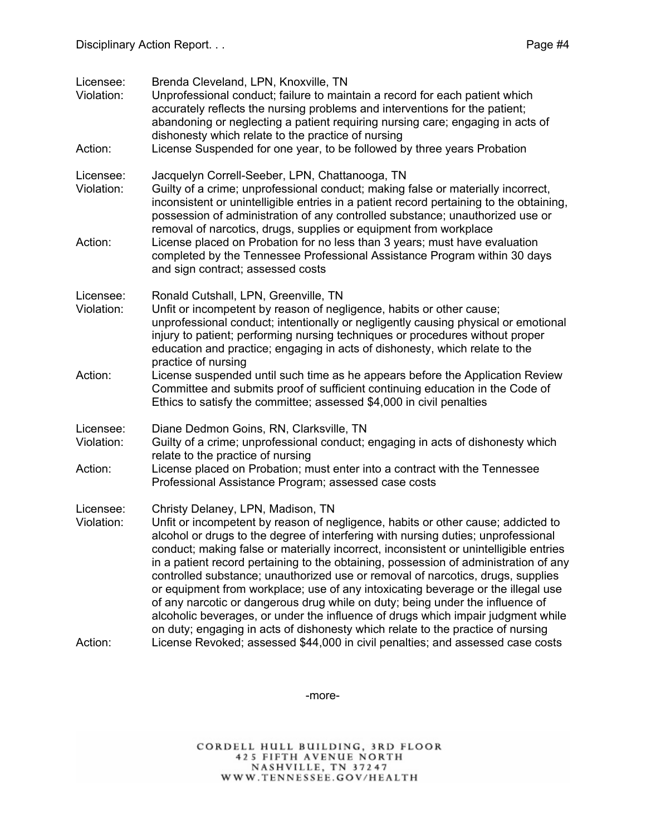| Licensee:<br>Violation: | Brenda Cleveland, LPN, Knoxville, TN<br>Unprofessional conduct; failure to maintain a record for each patient which<br>accurately reflects the nursing problems and interventions for the patient;<br>abandoning or neglecting a patient requiring nursing care; engaging in acts of<br>dishonesty which relate to the practice of nursing                                                                                                                                                                                                                                                                                                                                                                                                                                                                                 |
|-------------------------|----------------------------------------------------------------------------------------------------------------------------------------------------------------------------------------------------------------------------------------------------------------------------------------------------------------------------------------------------------------------------------------------------------------------------------------------------------------------------------------------------------------------------------------------------------------------------------------------------------------------------------------------------------------------------------------------------------------------------------------------------------------------------------------------------------------------------|
| Action:                 | License Suspended for one year, to be followed by three years Probation                                                                                                                                                                                                                                                                                                                                                                                                                                                                                                                                                                                                                                                                                                                                                    |
| Licensee:<br>Violation: | Jacquelyn Correll-Seeber, LPN, Chattanooga, TN<br>Guilty of a crime; unprofessional conduct; making false or materially incorrect,<br>inconsistent or unintelligible entries in a patient record pertaining to the obtaining,<br>possession of administration of any controlled substance; unauthorized use or                                                                                                                                                                                                                                                                                                                                                                                                                                                                                                             |
| Action:                 | removal of narcotics, drugs, supplies or equipment from workplace<br>License placed on Probation for no less than 3 years; must have evaluation<br>completed by the Tennessee Professional Assistance Program within 30 days<br>and sign contract; assessed costs                                                                                                                                                                                                                                                                                                                                                                                                                                                                                                                                                          |
| Licensee:<br>Violation: | Ronald Cutshall, LPN, Greenville, TN<br>Unfit or incompetent by reason of negligence, habits or other cause;<br>unprofessional conduct; intentionally or negligently causing physical or emotional<br>injury to patient; performing nursing techniques or procedures without proper<br>education and practice; engaging in acts of dishonesty, which relate to the<br>practice of nursing                                                                                                                                                                                                                                                                                                                                                                                                                                  |
| Action:                 | License suspended until such time as he appears before the Application Review<br>Committee and submits proof of sufficient continuing education in the Code of<br>Ethics to satisfy the committee; assessed \$4,000 in civil penalties                                                                                                                                                                                                                                                                                                                                                                                                                                                                                                                                                                                     |
| Licensee:<br>Violation: | Diane Dedmon Goins, RN, Clarksville, TN<br>Guilty of a crime; unprofessional conduct; engaging in acts of dishonesty which<br>relate to the practice of nursing                                                                                                                                                                                                                                                                                                                                                                                                                                                                                                                                                                                                                                                            |
| Action:                 | License placed on Probation; must enter into a contract with the Tennessee<br>Professional Assistance Program; assessed case costs                                                                                                                                                                                                                                                                                                                                                                                                                                                                                                                                                                                                                                                                                         |
| Licensee:<br>Violation: | Christy Delaney, LPN, Madison, TN<br>Unfit or incompetent by reason of negligence, habits or other cause; addicted to<br>alcohol or drugs to the degree of interfering with nursing duties; unprofessional<br>conduct; making false or materially incorrect, inconsistent or unintelligible entries<br>in a patient record pertaining to the obtaining, possession of administration of any<br>controlled substance; unauthorized use or removal of narcotics, drugs, supplies<br>or equipment from workplace; use of any intoxicating beverage or the illegal use<br>of any narcotic or dangerous drug while on duty; being under the influence of<br>alcoholic beverages, or under the influence of drugs which impair judgment while<br>on duty; engaging in acts of dishonesty which relate to the practice of nursing |
| Action:                 | License Revoked; assessed \$44,000 in civil penalties; and assessed case costs                                                                                                                                                                                                                                                                                                                                                                                                                                                                                                                                                                                                                                                                                                                                             |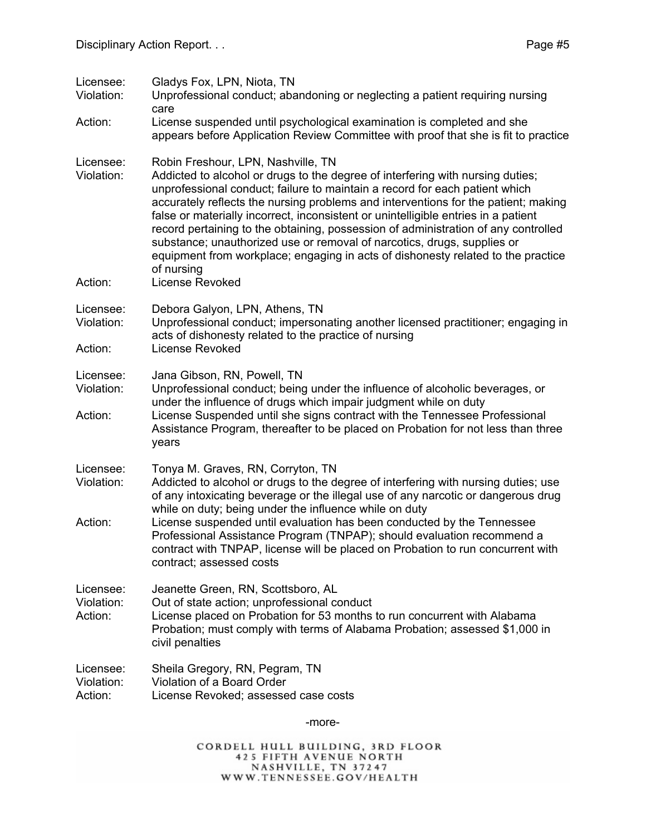| Licensee:<br>Violation:            | Gladys Fox, LPN, Niota, TN<br>Unprofessional conduct; abandoning or neglecting a patient requiring nursing<br>care                                                                                                                                                                                                                                                                                                                                                                                                                                                                                                                                                    |
|------------------------------------|-----------------------------------------------------------------------------------------------------------------------------------------------------------------------------------------------------------------------------------------------------------------------------------------------------------------------------------------------------------------------------------------------------------------------------------------------------------------------------------------------------------------------------------------------------------------------------------------------------------------------------------------------------------------------|
| Action:                            | License suspended until psychological examination is completed and she<br>appears before Application Review Committee with proof that she is fit to practice                                                                                                                                                                                                                                                                                                                                                                                                                                                                                                          |
| Licensee:<br>Violation:<br>Action: | Robin Freshour, LPN, Nashville, TN<br>Addicted to alcohol or drugs to the degree of interfering with nursing duties;<br>unprofessional conduct; failure to maintain a record for each patient which<br>accurately reflects the nursing problems and interventions for the patient; making<br>false or materially incorrect, inconsistent or unintelligible entries in a patient<br>record pertaining to the obtaining, possession of administration of any controlled<br>substance; unauthorized use or removal of narcotics, drugs, supplies or<br>equipment from workplace; engaging in acts of dishonesty related to the practice<br>of nursing<br>License Revoked |
|                                    |                                                                                                                                                                                                                                                                                                                                                                                                                                                                                                                                                                                                                                                                       |
| Licensee:<br>Violation:            | Debora Galyon, LPN, Athens, TN<br>Unprofessional conduct; impersonating another licensed practitioner; engaging in<br>acts of dishonesty related to the practice of nursing                                                                                                                                                                                                                                                                                                                                                                                                                                                                                           |
| Action:                            | <b>License Revoked</b>                                                                                                                                                                                                                                                                                                                                                                                                                                                                                                                                                                                                                                                |
| Licensee:<br>Violation:            | Jana Gibson, RN, Powell, TN<br>Unprofessional conduct; being under the influence of alcoholic beverages, or<br>under the influence of drugs which impair judgment while on duty                                                                                                                                                                                                                                                                                                                                                                                                                                                                                       |
| Action:                            | License Suspended until she signs contract with the Tennessee Professional<br>Assistance Program, thereafter to be placed on Probation for not less than three<br>years                                                                                                                                                                                                                                                                                                                                                                                                                                                                                               |
| Licensee:<br>Violation:            | Tonya M. Graves, RN, Corryton, TN<br>Addicted to alcohol or drugs to the degree of interfering with nursing duties; use<br>of any intoxicating beverage or the illegal use of any narcotic or dangerous drug                                                                                                                                                                                                                                                                                                                                                                                                                                                          |
| Action:                            | while on duty; being under the influence while on duty<br>License suspended until evaluation has been conducted by the Tennessee<br>Professional Assistance Program (TNPAP); should evaluation recommend a<br>contract with TNPAP, license will be placed on Probation to run concurrent with<br>contract; assessed costs                                                                                                                                                                                                                                                                                                                                             |
| Licensee:<br>Violation:<br>Action: | Jeanette Green, RN, Scottsboro, AL<br>Out of state action; unprofessional conduct<br>License placed on Probation for 53 months to run concurrent with Alabama<br>Probation; must comply with terms of Alabama Probation; assessed \$1,000 in<br>civil penalties                                                                                                                                                                                                                                                                                                                                                                                                       |
| Licensee:<br>Violation:<br>Action: | Sheila Gregory, RN, Pegram, TN<br>Violation of a Board Order<br>License Revoked; assessed case costs                                                                                                                                                                                                                                                                                                                                                                                                                                                                                                                                                                  |
|                                    |                                                                                                                                                                                                                                                                                                                                                                                                                                                                                                                                                                                                                                                                       |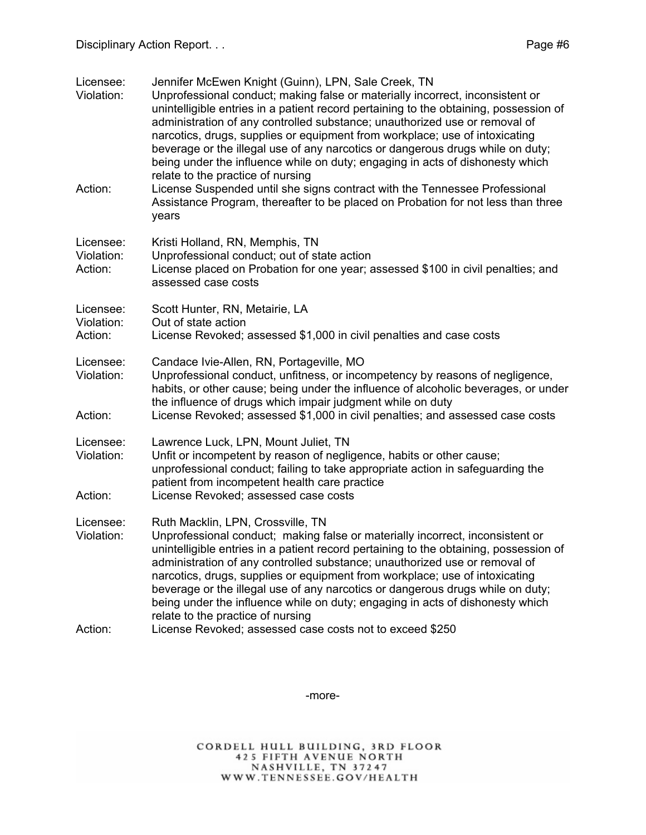| Licensee:<br>Violation:            | Jennifer McEwen Knight (Guinn), LPN, Sale Creek, TN<br>Unprofessional conduct; making false or materially incorrect, inconsistent or<br>unintelligible entries in a patient record pertaining to the obtaining, possession of<br>administration of any controlled substance; unauthorized use or removal of<br>narcotics, drugs, supplies or equipment from workplace; use of intoxicating<br>beverage or the illegal use of any narcotics or dangerous drugs while on duty;<br>being under the influence while on duty; engaging in acts of dishonesty which                    |
|------------------------------------|----------------------------------------------------------------------------------------------------------------------------------------------------------------------------------------------------------------------------------------------------------------------------------------------------------------------------------------------------------------------------------------------------------------------------------------------------------------------------------------------------------------------------------------------------------------------------------|
| Action:                            | relate to the practice of nursing<br>License Suspended until she signs contract with the Tennessee Professional<br>Assistance Program, thereafter to be placed on Probation for not less than three<br>years                                                                                                                                                                                                                                                                                                                                                                     |
| Licensee:<br>Violation:<br>Action: | Kristi Holland, RN, Memphis, TN<br>Unprofessional conduct; out of state action<br>License placed on Probation for one year; assessed \$100 in civil penalties; and<br>assessed case costs                                                                                                                                                                                                                                                                                                                                                                                        |
| Licensee:<br>Violation:<br>Action: | Scott Hunter, RN, Metairie, LA<br>Out of state action<br>License Revoked; assessed \$1,000 in civil penalties and case costs                                                                                                                                                                                                                                                                                                                                                                                                                                                     |
| Licensee:<br>Violation:<br>Action: | Candace Ivie-Allen, RN, Portageville, MO<br>Unprofessional conduct, unfitness, or incompetency by reasons of negligence,<br>habits, or other cause; being under the influence of alcoholic beverages, or under<br>the influence of drugs which impair judgment while on duty<br>License Revoked; assessed \$1,000 in civil penalties; and assessed case costs                                                                                                                                                                                                                    |
| Licensee:<br>Violation:<br>Action: | Lawrence Luck, LPN, Mount Juliet, TN<br>Unfit or incompetent by reason of negligence, habits or other cause;<br>unprofessional conduct; failing to take appropriate action in safeguarding the<br>patient from incompetent health care practice<br>License Revoked; assessed case costs                                                                                                                                                                                                                                                                                          |
| Licensee:<br>Violation:            | Ruth Macklin, LPN, Crossville, TN<br>Unprofessional conduct; making false or materially incorrect, inconsistent or<br>unintelligible entries in a patient record pertaining to the obtaining, possession of<br>administration of any controlled substance; unauthorized use or removal of<br>narcotics, drugs, supplies or equipment from workplace; use of intoxicating<br>beverage or the illegal use of any narcotics or dangerous drugs while on duty;<br>being under the influence while on duty; engaging in acts of dishonesty which<br>relate to the practice of nursing |
| Action:                            | License Revoked; assessed case costs not to exceed \$250                                                                                                                                                                                                                                                                                                                                                                                                                                                                                                                         |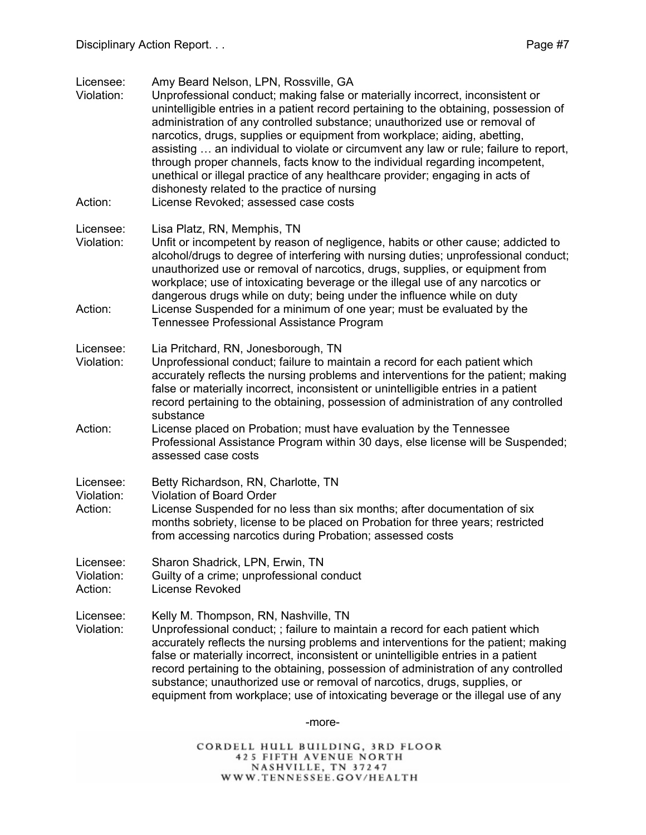Licensee: Amy Beard Nelson, LPN, Rossville, GA

- Violation: Unprofessional conduct; making false or materially incorrect, inconsistent or unintelligible entries in a patient record pertaining to the obtaining, possession of administration of any controlled substance; unauthorized use or removal of narcotics, drugs, supplies or equipment from workplace; aiding, abetting, assisting … an individual to violate or circumvent any law or rule; failure to report, through proper channels, facts know to the individual regarding incompetent, unethical or illegal practice of any healthcare provider; engaging in acts of dishonesty related to the practice of nursing
- Action: License Revoked; assessed case costs

#### Licensee: Lisa Platz, RN, Memphis, TN

- Violation: Unfit or incompetent by reason of negligence, habits or other cause; addicted to alcohol/drugs to degree of interfering with nursing duties; unprofessional conduct; unauthorized use or removal of narcotics, drugs, supplies, or equipment from workplace; use of intoxicating beverage or the illegal use of any narcotics or dangerous drugs while on duty; being under the influence while on duty Action: License Suspended for a minimum of one year; must be evaluated by the Tennessee Professional Assistance Program
- Licensee: Lia Pritchard, RN, Jonesborough, TN
- Violation: Unprofessional conduct; failure to maintain a record for each patient which accurately reflects the nursing problems and interventions for the patient; making false or materially incorrect, inconsistent or unintelligible entries in a patient record pertaining to the obtaining, possession of administration of any controlled substance
- Action: License placed on Probation; must have evaluation by the Tennessee Professional Assistance Program within 30 days, else license will be Suspended; assessed case costs
- Licensee: Betty Richardson, RN, Charlotte, TN
- Violation: Violation of Board Order
- Action: License Suspended for no less than six months; after documentation of six months sobriety, license to be placed on Probation for three years; restricted from accessing narcotics during Probation; assessed costs
- Licensee: Sharon Shadrick, LPN, Erwin, TN
- Violation: Guilty of a crime; unprofessional conduct
- Action: License Revoked

Licensee: Kelly M. Thompson, RN, Nashville, TN

Violation: Unprofessional conduct; ; failure to maintain a record for each patient which accurately reflects the nursing problems and interventions for the patient; making false or materially incorrect, inconsistent or unintelligible entries in a patient record pertaining to the obtaining, possession of administration of any controlled substance; unauthorized use or removal of narcotics, drugs, supplies, or equipment from workplace; use of intoxicating beverage or the illegal use of any

-more-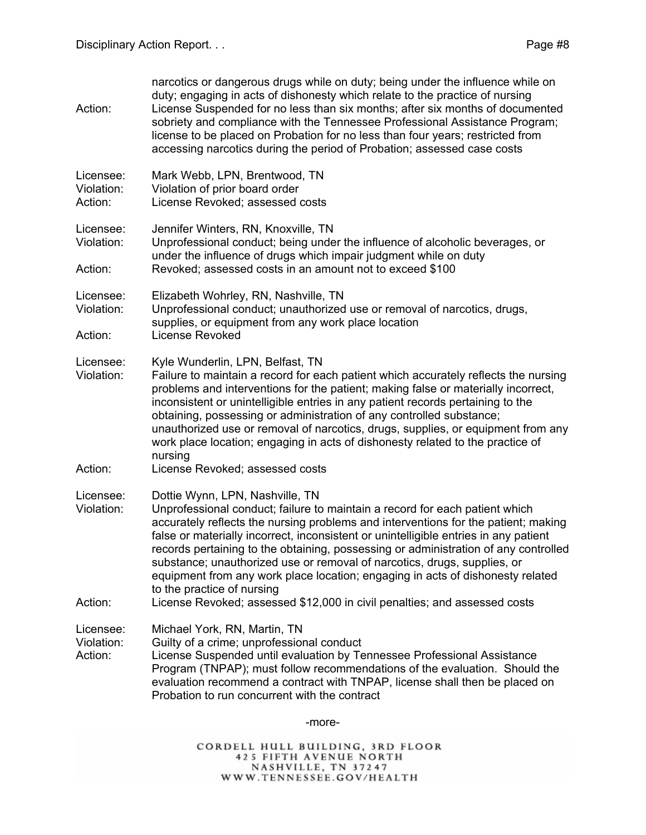| Action:                            | narcotics or dangerous drugs while on duty; being under the influence while on<br>duty; engaging in acts of dishonesty which relate to the practice of nursing<br>License Suspended for no less than six months; after six months of documented<br>sobriety and compliance with the Tennessee Professional Assistance Program;<br>license to be placed on Probation for no less than four years; restricted from<br>accessing narcotics during the period of Probation; assessed case costs                                                                                                                                                                  |
|------------------------------------|--------------------------------------------------------------------------------------------------------------------------------------------------------------------------------------------------------------------------------------------------------------------------------------------------------------------------------------------------------------------------------------------------------------------------------------------------------------------------------------------------------------------------------------------------------------------------------------------------------------------------------------------------------------|
| Licensee:<br>Violation:<br>Action: | Mark Webb, LPN, Brentwood, TN<br>Violation of prior board order<br>License Revoked; assessed costs                                                                                                                                                                                                                                                                                                                                                                                                                                                                                                                                                           |
| Licensee:<br>Violation:<br>Action: | Jennifer Winters, RN, Knoxville, TN<br>Unprofessional conduct; being under the influence of alcoholic beverages, or<br>under the influence of drugs which impair judgment while on duty<br>Revoked; assessed costs in an amount not to exceed \$100                                                                                                                                                                                                                                                                                                                                                                                                          |
| Licensee:<br>Violation:<br>Action: | Elizabeth Wohrley, RN, Nashville, TN<br>Unprofessional conduct; unauthorized use or removal of narcotics, drugs,<br>supplies, or equipment from any work place location<br>License Revoked                                                                                                                                                                                                                                                                                                                                                                                                                                                                   |
| Licensee:<br>Violation:<br>Action: | Kyle Wunderlin, LPN, Belfast, TN<br>Failure to maintain a record for each patient which accurately reflects the nursing<br>problems and interventions for the patient; making false or materially incorrect,<br>inconsistent or unintelligible entries in any patient records pertaining to the<br>obtaining, possessing or administration of any controlled substance;<br>unauthorized use or removal of narcotics, drugs, supplies, or equipment from any<br>work place location; engaging in acts of dishonesty related to the practice of<br>nursing<br>License Revoked; assessed costs                                                                  |
| Licensee:<br>Violation:<br>Action: | Dottie Wynn, LPN, Nashville, TN<br>Unprofessional conduct; failure to maintain a record for each patient which<br>accurately reflects the nursing problems and interventions for the patient; making<br>false or materially incorrect, inconsistent or unintelligible entries in any patient<br>records pertaining to the obtaining, possessing or administration of any controlled<br>substance; unauthorized use or removal of narcotics, drugs, supplies, or<br>equipment from any work place location; engaging in acts of dishonesty related<br>to the practice of nursing<br>License Revoked; assessed \$12,000 in civil penalties; and assessed costs |
| Licensee:<br>Violation:<br>Action: | Michael York, RN, Martin, TN<br>Guilty of a crime; unprofessional conduct<br>License Suspended until evaluation by Tennessee Professional Assistance<br>Program (TNPAP); must follow recommendations of the evaluation. Should the<br>evaluation recommend a contract with TNPAP, license shall then be placed on<br>Probation to run concurrent with the contract                                                                                                                                                                                                                                                                                           |